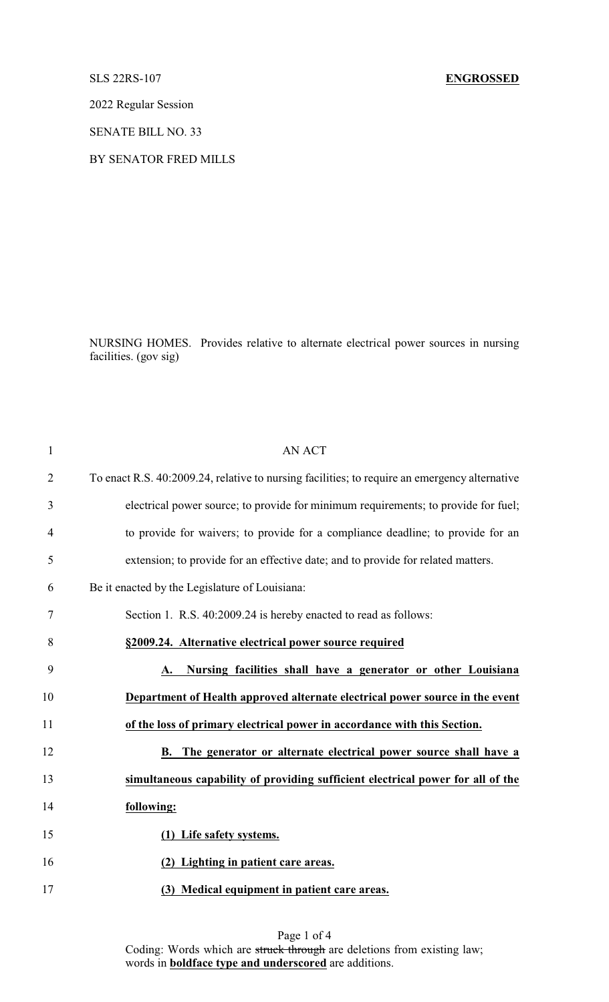## SLS 22RS-107 **ENGROSSED**

2022 Regular Session

SENATE BILL NO. 33

## BY SENATOR FRED MILLS

NURSING HOMES. Provides relative to alternate electrical power sources in nursing facilities. (gov sig)

| <b>AN ACT</b>                                                                                 |
|-----------------------------------------------------------------------------------------------|
| To enact R.S. 40:2009.24, relative to nursing facilities; to require an emergency alternative |
| electrical power source; to provide for minimum requirements; to provide for fuel;            |
| to provide for waivers; to provide for a compliance deadline; to provide for an               |
| extension; to provide for an effective date; and to provide for related matters.              |
| Be it enacted by the Legislature of Louisiana:                                                |
| Section 1. R.S. 40:2009.24 is hereby enacted to read as follows:                              |
| §2009.24. Alternative electrical power source required                                        |
| Nursing facilities shall have a generator or other Louisiana<br>A.                            |
| Department of Health approved alternate electrical power source in the event                  |
| of the loss of primary electrical power in accordance with this Section.                      |
| The generator or alternate electrical power source shall have a<br>В.                         |
| simultaneous capability of providing sufficient electrical power for all of the               |
| following:                                                                                    |
| (1) Life safety systems.                                                                      |
| (2) Lighting in patient care areas.                                                           |
| (3) Medical equipment in patient care areas.                                                  |
|                                                                                               |

Page 1 of 4 Coding: Words which are struck through are deletions from existing law; words in **boldface type and underscored** are additions.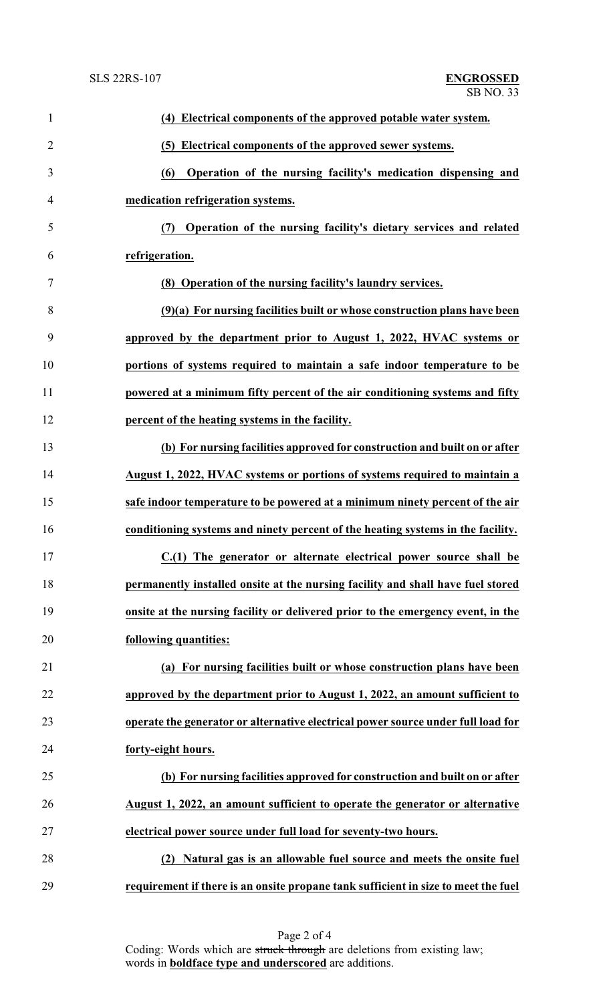| $\mathbf{1}$   | (4) Electrical components of the approved potable water system.                    |
|----------------|------------------------------------------------------------------------------------|
| $\overline{2}$ | (5) Electrical components of the approved sewer systems.                           |
| 3              | Operation of the nursing facility's medication dispensing and<br>(6)               |
| $\overline{4}$ | medication refrigeration systems.                                                  |
| 5              | (7) Operation of the nursing facility's dietary services and related               |
| 6              | refrigeration.                                                                     |
| $\tau$         | (8) Operation of the nursing facility's laundry services.                          |
| 8              | $(9)(a)$ For nursing facilities built or whose construction plans have been        |
| 9              | approved by the department prior to August 1, 2022, HVAC systems or                |
| 10             | portions of systems required to maintain a safe indoor temperature to be           |
| 11             | powered at a minimum fifty percent of the air conditioning systems and fifty       |
| 12             | percent of the heating systems in the facility.                                    |
| 13             | (b) For nursing facilities approved for construction and built on or after         |
| 14             | August 1, 2022, HVAC systems or portions of systems required to maintain a         |
| 15             | safe indoor temperature to be powered at a minimum ninety percent of the air       |
| 16             | conditioning systems and ninety percent of the heating systems in the facility.    |
| 17             | C.(1) The generator or alternate electrical power source shall be                  |
| 18             | permanently installed onsite at the nursing facility and shall have fuel stored    |
| 19             | onsite at the nursing facility or delivered prior to the emergency event, in the   |
| 20             | following quantities:                                                              |
| 21             | (a) For nursing facilities built or whose construction plans have been             |
| 22             | approved by the department prior to August 1, 2022, an amount sufficient to        |
| 23             | operate the generator or alternative electrical power source under full load for   |
| 24             | forty-eight hours.                                                                 |
| 25             | (b) For nursing facilities approved for construction and built on or after         |
| 26             | August 1, 2022, an amount sufficient to operate the generator or alternative       |
| 27             | electrical power source under full load for seventy-two hours.                     |
| 28             | Natural gas is an allowable fuel source and meets the onsite fuel<br>(2)           |
| 29             | requirement if there is an onsite propane tank sufficient in size to meet the fuel |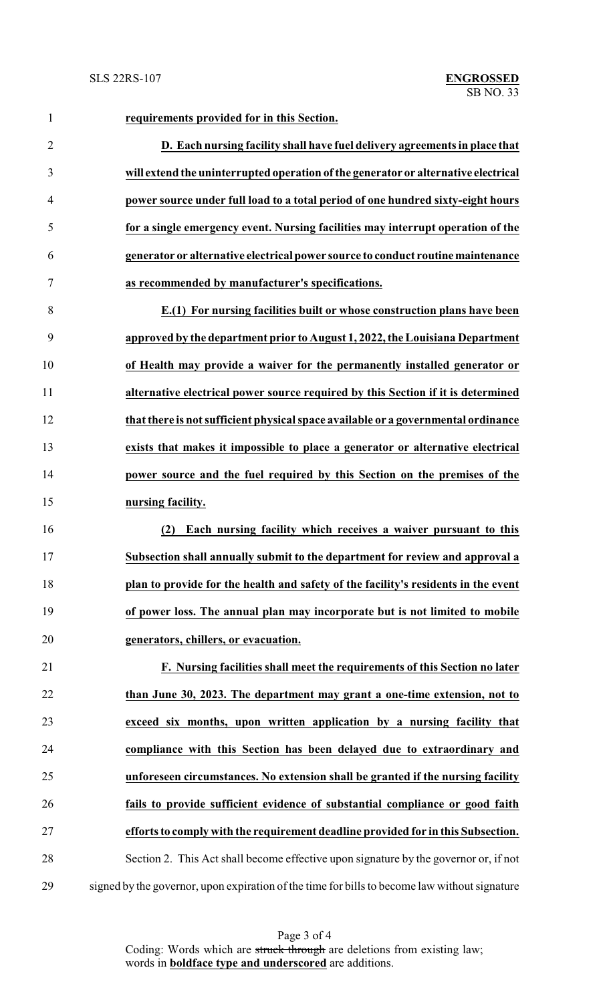**requirements provided for in this Section. D. Each nursing facility shall have fuel delivery agreements in place that will extend the uninterrupted operation ofthe generator or alternative electrical power source under full load to a total period of one hundred sixty-eight hours for a single emergency event. Nursing facilities may interrupt operation of the generator or alternative electrical power source to conduct routinemaintenance as recommended by manufacturer's specifications. E.(1) For nursing facilities built or whose construction plans have been approved by the department prior to August 1, 2022, the Louisiana Department of Health may provide a waiver for the permanently installed generator or alternative electrical power source required by this Section if it is determined that there is not sufficient physical space available or a governmental ordinance exists that makes it impossible to place a generator or alternative electrical power source and the fuel required by this Section on the premises of the nursing facility. (2) Each nursing facility which receives a waiver pursuant to this Subsection shall annually submit to the department for review and approval a plan to provide for the health and safety of the facility's residents in the event of power loss. The annual plan may incorporate but is not limited to mobile generators, chillers, or evacuation. F. Nursing facilities shall meet the requirements of this Section no later than June 30, 2023. The department may grant a one-time extension, not to exceed six months, upon written application by a nursing facility that compliance with this Section has been delayed due to extraordinary and unforeseen circumstances. No extension shall be granted if the nursing facility fails to provide sufficient evidence of substantial compliance or good faith efforts to comply with the requirement deadline provided for in this Subsection.** Section 2. This Act shall become effective upon signature by the governor or, if not signed by the governor, upon expiration of the time for bills to become law without signature